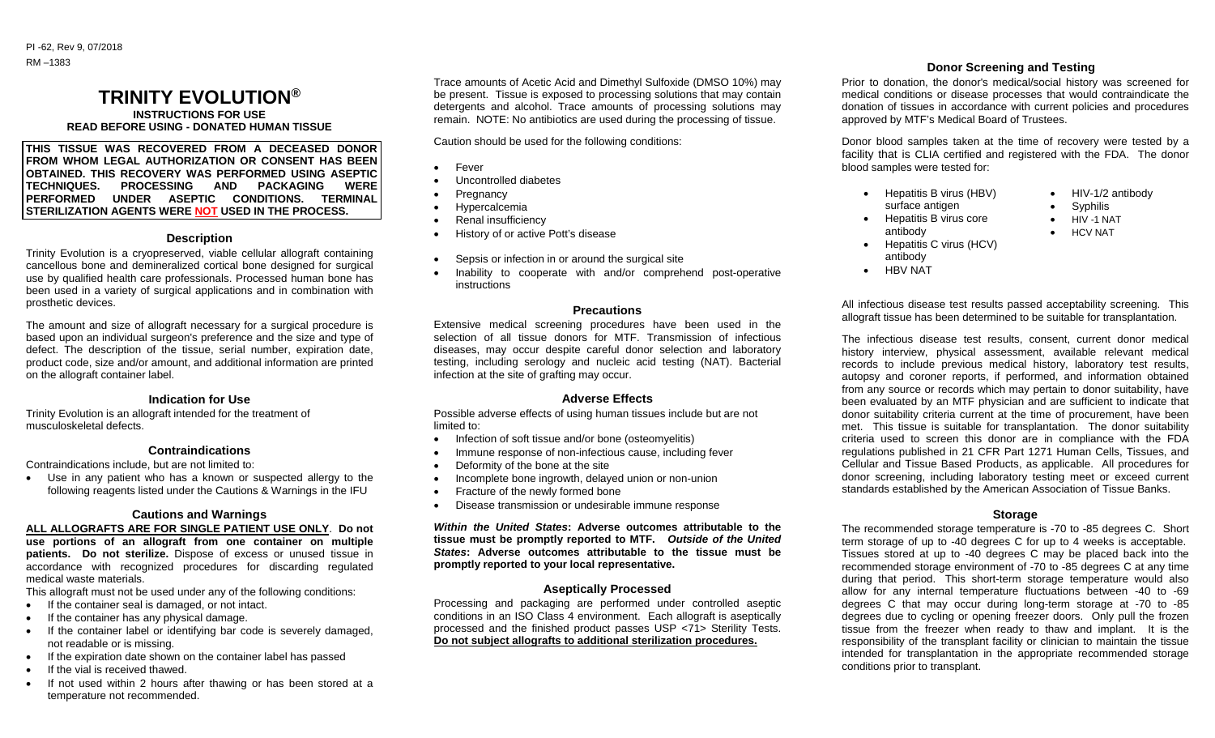### PI -62, Rev 9, 07/2018 RM –1383

# **TRINITY EVOLUTION®**

**INSTRUCTIONS FOR USE READ BEFORE USING - DONATED HUMAN TISSUE**

**THIS TISSUE WAS RECOVERED FROM A DECEASED DONOR FROM WHOM LEGAL AUTHORIZATION OR CONSENT HAS BEEN OBTAINED. THIS RECOVERY WAS PERFORMED USING ASEPTIC TECHNIQUES. PROCESSING AND PACKAGING WERE PERFORMED UNDER ASEPTIC CONDITIONS. TERMINAL STERILIZATION AGENTS WERE NOT USED IN THE PROCESS.**

#### **Description**

Trinity Evolution is a cryopreserved, viable cellular allograft containing cancellous bone and demineralized cortical bone designed for surgical use by qualified health care professionals. Processed human bone has been used in a variety of surgical applications and in combination with prosthetic devices.

The amount and size of allograft necessary for a surgical procedure is based upon an individual surgeon's preference and the size and type of defect. The description of the tissue, serial number, expiration date, product code, size and/or amount, and additional information are printed on the allograft container label.

#### **Indication for Use**

Trinity Evolution is an allograft intended for the treatment of musculoskeletal defects.

#### **Contraindications**

Contraindications include, but are not limited to:

 Use in any patient who has a known or suspected allergy to the following reagents listed under the Cautions & Warnings in the IFU

## **Cautions and Warnings**

**ALL ALLOGRAFTS ARE FOR SINGLE PATIENT USE ONLY**. **Do not use portions of an allograft from one container on multiple patients. Do not sterilize.** Dispose of excess or unused tissue in accordance with recognized procedures for discarding regulated medical waste materials.

This allograft must not be used under any of the following conditions:

- If the container seal is damaged, or not intact.
- If the container has any physical damage.
- If the container label or identifying bar code is severely damaged, not readable or is missing.
- If the expiration date shown on the container label has passed
- If the vial is received thawed.
- If not used within 2 hours after thawing or has been stored at a temperature not recommended.

Trace amounts of Acetic Acid and Dimethyl Sulfoxide (DMSO 10%) may be present. Tissue is exposed to processing solutions that may contain detergents and alcohol. Trace amounts of processing solutions may remain. NOTE: No antibiotics are used during the processing of tissue.

Caution should be used for the following conditions:

- Fever
- Uncontrolled diabetes
- Pregnancy
- Hypercalcemia
- Renal insufficiency
- History of or active Pott's disease
- Sepsis or infection in or around the surgical site
- Inability to cooperate with and/or comprehend post-operative instructions

#### **Precautions**

Extensive medical screening procedures have been used in the selection of all tissue donors for MTF. Transmission of infectious diseases, may occur despite careful donor selection and laboratory testing, including serology and nucleic acid testing (NAT). Bacterial infection at the site of grafting may occur.

## **Adverse Effects**

Possible adverse effects of using human tissues include but are not limited to:

- Infection of soft tissue and/or bone (osteomvelitis)
- Immune response of non-infectious cause, including fever
- Deformity of the bone at the site
- Incomplete bone ingrowth, delayed union or non-union
- Fracture of the newly formed bone
- Disease transmission or undesirable immune response

*Within the United States***: Adverse outcomes attributable to the tissue must be promptly reported to MTF.** *Outside of the United States***: Adverse outcomes attributable to the tissue must be promptly reported to your local representative.**

## **Aseptically Processed**

Processing and packaging are performed under controlled aseptic conditions in an ISO Class 4 environment. Each allograft is aseptically processed and the finished product passes USP <71> Sterility Tests. **Do not subject allografts to additional sterilization procedures.**

# **Donor Screening and Testing**

Prior to donation, the donor's medical/social history was screened for medical conditions or disease processes that would contraindicate the donation of tissues in accordance with current policies and procedures approved by MTF's Medical Board of Trustees.

Donor blood samples taken at the time of recovery were tested by a facility that is CLIA certified and registered with the FDA. The donor blood samples were tested for:

- Hepatitis B virus (HBV) surface antigen
	- HIV-1/2 antibody Syphilis

 HIV -1 NAT HCV NAT

- Hepatitis B virus core antibody
- Hepatitis C virus (HCV)
	- antibody
- HBV NAT

All infectious disease test results passed acceptability screening. This allograft tissue has been determined to be suitable for transplantation.

The infectious disease test results, consent, current donor medical history interview, physical assessment, available relevant medical records to include previous medical history, laboratory test results, autopsy and coroner reports, if performed, and information obtained from any source or records which may pertain to donor suitability, have been evaluated by an MTF physician and are sufficient to indicate that donor suitability criteria current at the time of procurement, have been met. This tissue is suitable for transplantation. The donor suitability criteria used to screen this donor are in compliance with the FDA regulations published in 21 CFR Part 1271 Human Cells, Tissues, and Cellular and Tissue Based Products, as applicable. All procedures for donor screening, including laboratory testing meet or exceed current standards established by the American Association of Tissue Banks.

# **Storage**

The recommended storage temperature is -70 to -85 degrees C. Short term storage of up to -40 degrees C for up to 4 weeks is acceptable. Tissues stored at up to -40 degrees C may be placed back into the recommended storage environment of -70 to -85 degrees C at any time during that period. This short-term storage temperature would also allow for any internal temperature fluctuations between -40 to -69 degrees C that may occur during long-term storage at -70 to -85 degrees due to cycling or opening freezer doors. Only pull the frozen tissue from the freezer when ready to thaw and implant. It is the responsibility of the transplant facility or clinician to maintain the tissue intended for transplantation in the appropriate recommended storage conditions prior to transplant.